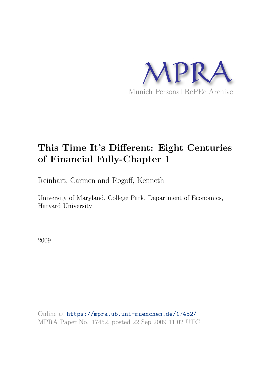

# **This Time It's Different: Eight Centuries of Financial Folly-Chapter 1**

Reinhart, Carmen and Rogoff, Kenneth

University of Maryland, College Park, Department of Economics, Harvard University

2009

Online at https://mpra.ub.uni-muenchen.de/17452/ MPRA Paper No. 17452, posted 22 Sep 2009 11:02 UTC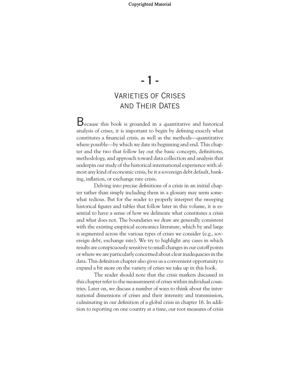# **- 1 -** VARIETIES OF CRISES AND THEIR DATES

Because this book is grounded in a quantitative and historical analysis of crises, it is important to begin by defining exactly what constitutes a financial crisis, as well as the methods—quantitative where possible—by which we date its beginning and end. This chapter and the two that follow lay out the basic concepts, definitions, methodology, and approach toward data collection and analysis that underpin our study of the historical international experience with almost any kind of economic crisis, be it a sovereign debt default, banking, inflation, or exchange rate crisis.

Delving into precise definitions of a crisis in an initial chapter rather than simply including them in a glossary may seem somewhat tedious. But for the reader to properly interpret the sweeping historical figures and tables that follow later in this volume, it is essential to have a sense of how we delineate what constitutes a crisis and what does not. The boundaries we draw are generally consistent with the existing empirical economics literature, which by and large is segmented across the various types of crises we consider (e.g., sovereign debt, exchange rate). We try to highlight any cases in which results are conspicuously sensitive to small changes in our cutoff points or where we are particularly concerned about clear inadequacies in the data. This definition chapter also gives us a convenient opportunity to expand a bit more on the variety of crises we take up in this book.

The reader should note that the crisis markers discussed in this chapter refer to the measurement of crises within individual countries. Later on, we discuss a number of ways to think about the international dimensions of crises and their intensity and transmission, culminating in our definition of a global crisis in chapter 16. In addition to reporting on one country at a time, our root measures of crisis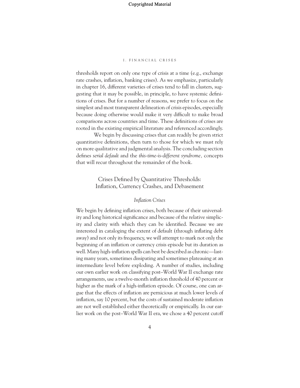thresholds report on only one type of crisis at a time (e.g., exchange rate crashes, inflation, banking crises). As we emphasize, particularly in chapter 16, different varieties of crises tend to fall in clusters, suggesting that it may be possible, in principle, to have systemic definitions of crises. But for a number of reasons, we prefer to focus on the simplest and most transparent delineation of crisis episodes, especially because doing otherwise would make it very difficult to make broad comparisons across countries and time. These definitions of crises are rooted in the existing empirical literature and referenced accordingly.

We begin by discussing crises that can readily be given strict quantitative definitions, then turn to those for which we must rely on more qualitative and judgmental analysis. The concluding section defines *serial default* and the *this-time-is-different syndrome,* concepts that will recur throughout the remainder of the book.

# Crises Defined by Quantitative Thresholds: Inflation, Currency Crashes, and Debasement

## *Inflation Crises*

We begin by defining inflation crises, both because of their universality and long historical significance and because of the relative simplicity and clarity with which they can be identified. Because we are interested in cataloging the extent of default (through inflating debt away) and not only its frequency, we will attempt to mark not only the beginning of an inflation or currency crisis episode but its duration as well. Many high-inflation spells can best be described as chronic—lasting many years, sometimes dissipating and sometimes plateauing at an intermediate level before exploding. A number of studies, including our own earlier work on classifying post–World War II exchange rate arrangements, use a twelve-month inflation threshold of 40 percent or higher as the mark of a high-inflation episode. Of course, one can argue that the effects of inflation are pernicious at much lower levels of inflation, say 10 percent, but the costs of sustained moderate inflation are not well established either theoretically or empirically. In our earlier work on the post–World War II era, we chose a 40 percent cutoff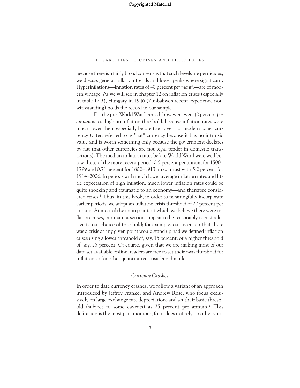#### 1. VARIETIES OF CRISES AND THEIR DATES

because there is a fairly broad consensus that such levels are pernicious; we discuss general inflation trends and lower peaks where significant. Hyperinflations—inflation rates of 40 percent *per month—*are of modern vintage. As we will see in chapter 12 on inflation crises (especially in table 12.3), Hungary in 1946 (Zimbabwe's recent experience notwithstanding) holds the record in our sample.

For the pre–World War I period, however, even 40 percent *per annum* is too high an inflation threshold, because inflation rates were much lower then, especially before the advent of modern paper currency (often referred to as "fiat" currency because it has no intrinsic value and is worth something only because the government declares by fiat that other currencies are not legal tender in domestic transactions). The median inflation rates before World War I were well below those of the more recent period: 0.5 percent per annum for 1500– 1799 and 0.71 percent for 1800–1913, in contrast with 5.0 percent for 1914–2006. In periods with much lower average inflation rates and little expectation of high inflation, much lower inflation rates could be quite shocking and traumatic to an economy—and therefore considered crises.<sup>1</sup> Thus, in this book, in order to meaningfully incorporate earlier periods, we adopt an inflation crisis threshold of 20 percent per annum. At most of the main points at which we believe there were inflation crises, our main assertions appear to be reasonably robust relative to our choice of threshold; for example, our assertion that there was a crisis at any given point would stand up had we defined inflation crises using a lower threshold of, say, 15 percent, or a higher threshold of, say, 25 percent. Of course, given that we are making most of our data set available online, readers are free to set their own threshold for inflation or for other quantitative crisis benchmarks.

#### *Currency Crashes*

In order to date currency crashes, we follow a variant of an approach introduced by Jeffrey Frankel and Andrew Rose, who focus exclusively on large exchange rate depreciations and set their basic threshold (subject to some caveats) as 25 percent per annum.<sup>2</sup> This definition is the most parsimonious, for it does not rely on other vari-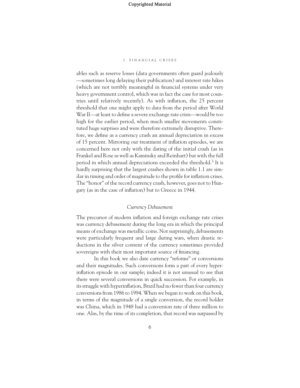ables such as reserve losses (data governments often guard jealously —sometimes long delaying their publication) and interest rate hikes (which are not terribly meaningful in financial systems under very heavy government control, which was in fact the case for most countries until relatively recently). As with inflation, the 25 percent threshold that one might apply to data from the period after World War II—at least to define a severe exchange rate crisis—would be too high for the earlier period, when much smaller movements constituted huge surprises and were therefore extremely disruptive. Therefore, we define as a currency crash an annual depreciation in excess of 15 percent. Mirroring our treatment of inflation episodes, we are concerned here not only with the dating of the initial crash (as in Frankel and Rose as well as Kaminsky and Reinhart) but with the full period in which annual depreciations exceeded the threshold.<sup>3</sup> It is hardly surprising that the largest crashes shown in table 1.1 are similar in timing and order of magnitude to the profile for inflation crises. The "honor" of the record currency crash, however, goes not to Hungary (as in the case of inflation) but to Greece in 1944.

## *Currency Debasement*

The precursor of modern inflation and foreign exchange rate crises was currency debasement during the long era in which the principal means of exchange was metallic coins. Not surprisingly, debasements were particularly frequent and large during wars, when drastic reductions in the silver content of the currency sometimes provided sovereigns with their most important source of financing.

In this book we also date currency "reforms" or conversions and their magnitudes. Such conversions form a part of every hyperinflation episode in our sample; indeed it is not unusual to see that there were several conversions in quick succession. For example, in its struggle with hyperinflation, Brazil had no fewer than four currency conversions from 1986 to 1994. When we began to work on this book, in terms of the magnitude of a single conversion, the record holder was China, which in 1948 had a conversion rate of three million to one. Alas, by the time of its completion, that record was surpassed by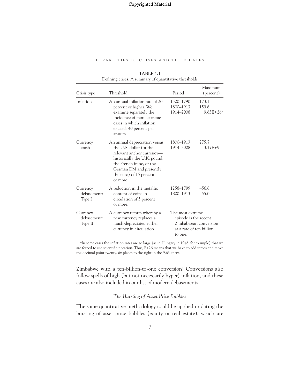## 1. VARIETIES OF CRISES AND THEIR DATES

| Crisis type                        | Threshold                                                                                                                                                                                                           | Period                                                                                                    | Maximum<br>(percent)             |
|------------------------------------|---------------------------------------------------------------------------------------------------------------------------------------------------------------------------------------------------------------------|-----------------------------------------------------------------------------------------------------------|----------------------------------|
| Inflation                          | An annual inflation rate of 20<br>percent or higher. We<br>examine separately the<br>incidence of more extreme<br>cases in which inflation<br>exceeds 40 percent per<br>annum.                                      | 1500-1790<br>1800-1913<br>1914-2008                                                                       | 173.1<br>159.6<br>$9.63E + 26^a$ |
| Currency<br>crash                  | An annual depreciation versus<br>the U.S. dollar (or the<br>relevant anchor currency-<br>historically the U.K. pound,<br>the French franc, or the<br>German DM and presently<br>the euro) of 15 percent<br>or more. | 1800-1913<br>1914-2008                                                                                    | 275.7<br>$3.37E + 9$             |
| Currency<br>debasement:<br>Type I  | A reduction in the metallic<br>content of coins in<br>circulation of 5 percent<br>or more.                                                                                                                          | 1258–1799<br>1800-1913                                                                                    | $-56.8$<br>$-55.0$               |
| Currency<br>debasement:<br>Type II | A currency reform whereby a<br>new currency replaces a<br>much-depreciated earlier<br>currency in circulation.                                                                                                      | The most extreme<br>episode is the recent<br>Zimbabwean conversion<br>at a rate of ten billion<br>to one. |                                  |

**TABLE 1.1** Defining crises: A summary of quantitative thresholds

<sup>a</sup>In some cases the inflation rates are so large (as in Hungary in 1946, for example) that we are forced to use scientific notation. Thus, E+26 means that we have to add zeroes and move the decimal point twenty-six places to the right in the 9.63 entry.

Zimbabwe with a ten-billion-to-one conversion! Conversions also follow spells of high (but not necessarily hyper) inflation, and these cases are also included in our list of modern debasements.

## *The Bursting of Asset Price Bubbles*

The same quantitative methodology could be applied in dating the bursting of asset price bubbles (equity or real estate), which are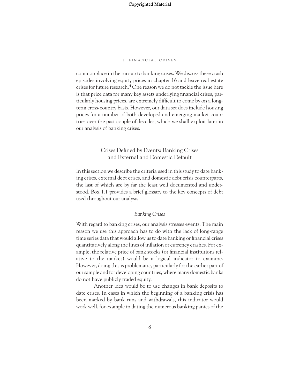## I. FINANCIAL CRISES

commonplace in the run-up to banking crises. We discuss these crash episodes involving equity prices in chapter 16 and leave real estate crises for future research.<sup>4</sup> One reason we do not tackle the issue here is that price data for many key assets underlying financial crises, particularly housing prices, are extremely difficult to come by on a longterm cross-country basis. However, our data set does include housing prices for a number of both developed and emerging market countries over the past couple of decades, which we shall exploit later in our analysis of banking crises.

# Crises Defined by Events: Banking Crises and External and Domestic Default

In this section we describe the criteria used in this study to date banking crises, external debt crises, and domestic debt crisis counterparts, the last of which are by far the least well documented and understood. Box 1.1 provides a brief glossary to the key concepts of debt used throughout our analysis.

## *Banking Crises*

With regard to banking crises, our analysis stresses events. The main reason we use this approach has to do with the lack of long-range time series data that would allow us to date banking or financial crises quantitatively along the lines of inflation or currency crashes. For example, the relative price of bank stocks (or financial institutions relative to the market) would be a logical indicator to examine. However, doing this is problematic, particularly for the earlier part of our sample and for developing countries, where many domestic banks do not have publicly traded equity.

Another idea would be to use changes in bank deposits to date crises. In cases in which the beginning of a banking crisis has been marked by bank runs and withdrawals, this indicator would work well, for example in dating the numerous banking panics of the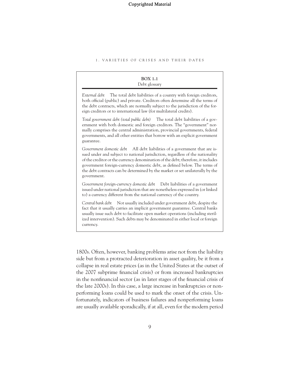#### 1. VARIETIES OF CRISES AND THEIR DATES

#### **BOX 1.1** Debt glossary

*External debt* The total debt liabilities of a country with foreign creditors, both official (public) and private. Creditors often determine all the terms of the debt contracts, which are normally subject to the jurisdiction of the foreign creditors or to international law (for multilateral credits).

*Total government debt (total public debt)* The total debt liabilities of a government with both domestic and foreign creditors. The "government" normally comprises the central administration, provincial governments, federal governments, and all other entities that borrow with an explicit government guarantee.

*Government domestic debt* All debt liabilities of a government that are issued under and subject to national jurisdiction, regardless of the nationality of the creditor or the currency denomination of the debt; therefore, it includes government foreign-currency domestic debt, as defined below. The terms of the debt contracts can be determined by the market or set unilaterally by the government.

*Government foreign-currency domestic debt* Debt liabilities of a government issued under national jurisdiction that are nonetheless expressed in (or linked to) a currency different from the national currency of the country.

*Central bank debt* Not usually included under government debt, despite the fact that it usually carries an implicit government guarantee. Central banks usually issue such debt to facilitate open market operations (including sterilized intervention). Such debts may be denominated in either local or foreign currency.

1800s. Often, however, banking problems arise not from the liability side but from a protracted deterioration in asset quality, be it from a collapse in real estate prices (as in the United States at the outset of the 2007 subprime financial crisis) or from increased bankruptcies in the nonfinancial sector (as in later stages of the financial crisis of the late 2000s). In this case, a large increase in bankruptcies or nonperforming loans could be used to mark the onset of the crisis. Unfortunately, indicators of business failures and nonperforming loans are usually available sporadically, if at all, even for the modern period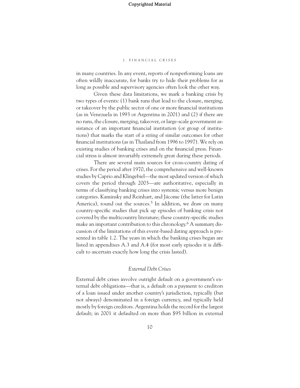## I. FINANCIAL CRISES

in many countries. In any event, reports of nonperforming loans are often wildly inaccurate, for banks try to hide their problems for as long as possible and supervisory agencies often look the other way.

Given these data limitations, we mark a banking crisis by two types of events: (1) bank runs that lead to the closure, merging, or takeover by the public sector of one or more financial institutions (as in Venezuela in 1993 or Argentina in 2001) and (2) if there are no runs, the closure, merging, takeover, or large-scale government assistance of an important financial institution (or group of institutions) that marks the start of a string of similar outcomes for other financial institutions (as in Thailand from 1996 to 1997). We rely on existing studies of banking crises and on the financial press. Financial stress is almost invariably extremely great during these periods.

There are several main sources for cross-country dating of crises. For the period after 1970, the comprehensive and well-known studies by Caprio and Klingebiel—the most updated version of which covers the period through 2003—are authoritative, especially in terms of classifying banking crises into systemic versus more benign categories. Kaminsky and Reinhart, and Jácome (the latter for Latin America), round out the sources.<sup>5</sup> In addition, we draw on many country-specific studies that pick up episodes of banking crisis not covered by the multicountry literature; these country-specific studies make an important contribution to this chronology.<sup>6</sup> A summary discussion of the limitations of this event-based dating approach is presented in table 1.2. The years in which the banking crises began are listed in appendixes A.3 and A.4 (for most early episodes it is difficult to ascertain exactly how long the crisis lasted).

## *External Debt Crises*

External debt crises involve outright default on a government's external debt obligations—that is, a default on a payment to creditors of a loan issued under another country's jurisdiction, typically (but not always) denominated in a foreign currency, and typically held mostly by foreign creditors. Argentina holds the record for the largest default; in 2001 it defaulted on more than \$95 billion in external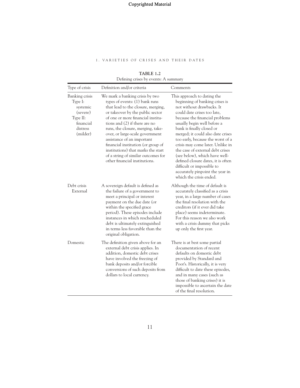# 1. VARIETIES OF CRISES AND THEIR DATES

| Type of crisis                                                                                     | Definition and/or criteria                                                                                                                                                                                                                                                                                                                                                                                                                                                  | Comments                                                                                                                                                                                                                                                                                                                                                                                                                                                                                                                                     |
|----------------------------------------------------------------------------------------------------|-----------------------------------------------------------------------------------------------------------------------------------------------------------------------------------------------------------------------------------------------------------------------------------------------------------------------------------------------------------------------------------------------------------------------------------------------------------------------------|----------------------------------------------------------------------------------------------------------------------------------------------------------------------------------------------------------------------------------------------------------------------------------------------------------------------------------------------------------------------------------------------------------------------------------------------------------------------------------------------------------------------------------------------|
| Banking crisis<br>Type I:<br>systemic<br>(severe)<br>Type II:<br>financial<br>distress<br>(milder) | We mark a banking crisis by two<br>types of events: (1) bank runs<br>that lead to the closure, merging,<br>or takeover by the public sector<br>of one or more financial institu-<br>tions and (2) if there are no<br>runs, the closure, merging, take-<br>over, or large-scale government<br>assistance of an important<br>financial institution (or group of<br>institutions) that marks the start<br>of a string of similar outcomes for<br>other financial institutions. | This approach to dating the<br>beginning of banking crises is<br>not without drawbacks. It<br>could date crises too late,<br>because the financial problems<br>usually begin well before a<br>bank is finally closed or<br>merged; it could also date crises<br>too early, because the worst of a<br>crisis may come later. Unlike in<br>the case of external debt crises<br>(see below), which have well-<br>defined closure dates, it is often<br>difficult or impossible to<br>accurately pinpoint the year in<br>which the crisis ended. |
| Debt crisis<br>External                                                                            | A sovereign default is defined as<br>the failure of a government to<br>meet a principal or interest<br>payment on the due date (or<br>within the specified grace<br>period). These episodes include<br>instances in which rescheduled<br>debt is ultimately extinguished<br>in terms less favorable than the<br>original obligation.                                                                                                                                        | Although the time of default is<br>accurately classified as a crisis<br>year, in a large number of cases<br>the final resolution with the<br>creditors (if it ever did take<br>place) seems indeterminate.<br>For this reason we also work<br>with a crisis dummy that picks<br>up only the first year.                                                                                                                                                                                                                                      |
| Domestic                                                                                           | The definition given above for an<br>external debt crisis applies. In<br>addition, domestic debt crises<br>have involved the freezing of<br>bank deposits and/or forcible<br>conversions of such deposits from<br>dollars to local currency.                                                                                                                                                                                                                                | There is at best some partial<br>documentation of recent<br>defaults on domestic debt<br>provided by Standard and<br>Poor's. Historically, it is very<br>difficult to date these episodes,<br>and in many cases (such as<br>those of banking crises) it is<br>impossible to ascertain the date<br>of the final resolution.                                                                                                                                                                                                                   |

**TABLE 1.2** Defining crises by events: A summary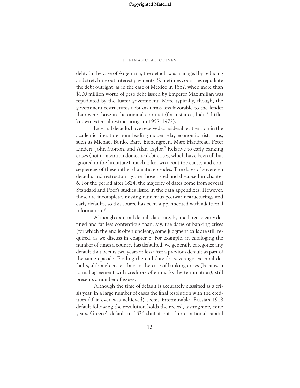debt. In the case of Argentina, the default was managed by reducing and stretching out interest payments. Sometimes countries repudiate the debt outright, as in the case of Mexico in 1867, when more than \$100 million worth of peso debt issued by Emperor Maximilian was repudiated by the Juarez government. More typically, though, the government restructures debt on terms less favorable to the lender than were those in the original contract (for instance, India's littleknown external restructurings in 1958–1972).

External defaults have received considerable attention in the academic literature from leading modern-day economic historians, such as Michael Bordo, Barry Eichengreen, Marc Flandreau, Peter Lindert, John Morton, and Alan Taylor.<sup>7</sup> Relative to early banking crises (not to mention domestic debt crises, which have been all but ignored in the literature), much is known about the causes and consequences of these rather dramatic episodes. The dates of sovereign defaults and restructurings are those listed and discussed in chapter 6. For the period after 1824, the majority of dates come from several Standard and Poor's studies listed in the data appendixes. However, these are incomplete, missing numerous postwar restructurings and early defaults, so this source has been supplemented with additional information.<sup>8</sup>

Although external default dates are, by and large, clearly defined and far less contentious than, say, the dates of banking crises (for which the end is often unclear), some judgment calls are still required, as we discuss in chapter 8. For example, in cataloging the number of times a country has defaulted, we generally categorize any default that occurs two years or less after a previous default as part of the same episode. Finding the end date for sovereign external defaults, although easier than in the case of banking crises (because a formal agreement with creditors often marks the termination), still presents a number of issues.

Although the time of default is accurately classified as a crisis year, in a large number of cases the final resolution with the creditors (if it ever was achieved) seems interminable. Russia's 1918 default following the revolution holds the record, lasting sixty-nine years. Greece's default in 1826 shut it out of international capital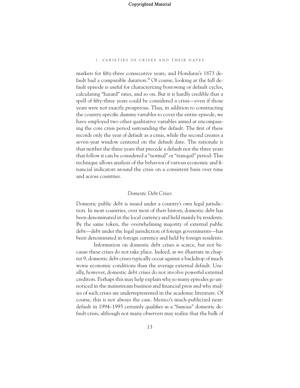### 1. VARIETIES OF CRISES AND THEIR DATES

markets for fifty-three consecutive years, and Honduras's 1873 default had a comparable duration.<sup>9</sup> Of course, looking at the full default episode is useful for characterizing borrowing or default cycles, calculating "hazard" rates, and so on. But it is hardly credible that a spell of fifty-three years could be considered a crisis—even if those years were not exactly prosperous. Thus, in addition to constructing the country-specific dummy variables to cover the entire episode, we have employed two other qualitative variables aimed at encompassing the core crisis period surrounding the default. The first of these records only the year of default as a crisis, while the second creates a seven-year window centered on the default date. The rationale is that neither the three years that precede a default nor the three years that follow it can be considered a "normal" or "tranquil" period. This technique allows analysis of the behavior of various economic and financial indicators around the crisis on a consistent basis over time and across countries.

#### *Domestic Debt Crises*

Domestic public debt is issued under a country's own legal jurisdiction. In most countries, over most of their history, domestic debt has been denominated in the local currency and held mainly by residents. By the same token, the overwhelming majority of external public debt—debt under the legal jurisdiction of foreign governments—has been denominated in foreign currency and held by foreign residents.

Information on domestic debt crises is scarce, but not because these crises do not take place. Indeed, as we illustrate in chapter 9, domestic debt crises typically occur against a backdrop of much worse economic conditions than the average external default. Usually, however, domestic debt crises do not involve powerful external creditors. Perhaps this may help explain why so many episodes go unnoticed in the mainstream business and financial press and why studies of such crises are underrepresented in the academic literature. Of course, this is not always the case. Mexico's much-publicized neardefault in 1994–1995 certainly qualifies as a "famous" domestic default crisis, although not many observers may realize that the bulk of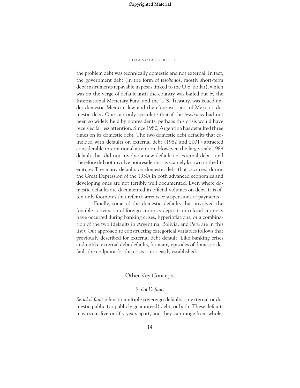the problem debt was technically domestic and not external. In fact, the government debt (in the form of *tesobonos,* mostly short-term debt instruments repayable in pesos linked to the U.S. dollar), which was on the verge of default until the country was bailed out by the International Monetary Fund and the U.S. Treasury, was issued under domestic Mexican law and therefore was part of Mexico's domestic debt. One can only speculate that if the *tesobonos* had not been so widely held by nonresidents, perhaps this crisis would have received far less attention. Since 1980, Argentina has defaulted three times on its domestic debt. The two domestic debt defaults that coincided with defaults on external debt (1982 and 2001) attracted considerable international attention. However, the large-scale 1989 default that did not involve a new default on external debt—and therefore did not involve nonresidents—is scarcely known in the literature. The many defaults on domestic debt that occurred during the Great Depression of the 1930s in both advanced economies and developing ones are not terribly well documented. Even where domestic defaults are documented in official volumes on debt, it is often only footnotes that refer to arrears or suspensions of payments.

Finally, some of the domestic defaults that involved the forcible conversion of foreign currency deposits into local currency have occurred during banking crises, hyperinflations, or a combination of the two (defaults in Argentina, Bolivia, and Peru are in this list). Our approach to constructing categorical variables follows that previously described for external debt default. Like banking crises and unlike external debt defaults, for many episodes of domestic default the endpoint for the crisis is not easily established.

# Other Key Concepts

## *Serial Default*

*Serial default* refers to multiple sovereign defaults on external or domestic public (or publicly guaranteed) debt, or both. These defaults may occur five or fifty years apart, and they can range from whole-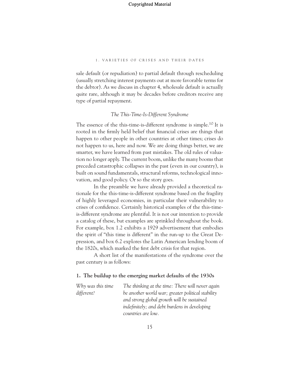### 1. VARIETIES OF CRISES AND THEIR DATES

sale default (or repudiation) to partial default through rescheduling (usually stretching interest payments out at more favorable terms for the debtor). As we discuss in chapter 4, wholesale default is actually quite rare, although it may be decades before creditors receive any type of partial repayment.

## *The This-Time-Is-Different Syndrome*

The essence of the this-time-is-different syndrome is simple.10 It is rooted in the firmly held belief that financial crises are things that happen to other people in other countries at other times; crises do not happen to us, here and now. We are doing things better, we are smarter, we have learned from past mistakes. The old rules of valuation no longer apply. The current boom, unlike the many booms that preceded catastrophic collapses in the past (even in our country), is built on sound fundamentals, structural reforms, technological innovation, and good policy. Or so the story goes.

In the preamble we have already provided a theoretical rationale for the this-time-is-different syndrome based on the fragility of highly leveraged economies, in particular their vulnerability to crises of confidence. Certainly historical examples of the this-timeis-different syndrome are plentiful. It is not our intention to provide a catalog of these, but examples are sprinkled throughout the book. For example, box 1.2 exhibits a 1929 advertisement that embodies the spirit of "this time is different" in the run-up to the Great Depression, and box 6.2 explores the Latin American lending boom of the 1820s, which marked the first debt crisis for that region.

A short list of the manifestations of the syndrome over the past century is as follows:

#### **1. The buildup to the emerging market defaults of the 1930s**

| Why was this time | The thinking at the time: There will never again  |
|-------------------|---------------------------------------------------|
| different?        | be another world war; greater political stability |
|                   | and strong global growth will be sustained        |
|                   | indefinitely; and debt burdens in developing      |
|                   | countries are low.                                |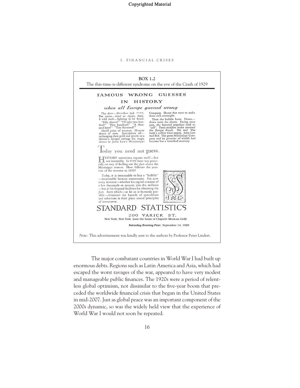

The major combatant countries in World War I had built up enormous debts. Regions such as Latin America and Asia, which had escaped the worst ravages of the war, appeared to have very modest and manageable public finances. The 1920s were a period of relentless global optimism, not dissimilar to the five-year boom that preceded the worldwide financial crisis that began in the United States in mid-2007. Just as global peace was an important component of the 2000s dynamic, so was the widely held view that the experience of World War I would not soon be repeated.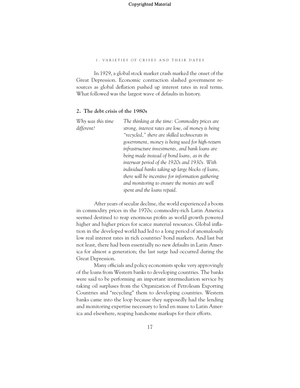## 1. VARIETIES OF CRISES AND THEIR DATES

In 1929, a global stock market crash marked the onset of the Great Depression. Economic contraction slashed government resources as global deflation pushed up interest rates in real terms. What followed was the largest wave of defaults in history.

## **2. The debt crisis of the 1980s**

| Why was this time | The thinking at the time: Commodity prices are     |
|-------------------|----------------------------------------------------|
| different?        | strong, interest rates are low, oil money is being |
|                   | "recycled," there are skilled technocrats in       |
|                   | government, money is being used for high-return    |
|                   | infrastructure investments, and bank loans are     |
|                   | being made instead of bond loans, as in the        |
|                   | interwar period of the 1920s and 1930s. With       |
|                   | individual banks taking up large blocks of loans,  |
|                   | there will be incentive for information gathering  |
|                   | and monitoring to ensure the monies are well       |
|                   | spent and the loans repaid.                        |
|                   |                                                    |

After years of secular decline, the world experienced a boom in commodity prices in the 1970s; commodity-rich Latin America seemed destined to reap enormous profits as world growth powered higher and higher prices for scarce material resources. Global inflation in the developed world had led to a long period of anomalously low real interest rates in rich countries' bond markets. And last but not least, there had been essentially no new defaults in Latin America for almost a generation; the last surge had occurred during the Great Depression.

Many officials and policy economists spoke very approvingly of the loans from Western banks to developing countries. The banks were said to be performing an important intermediation service by taking oil surpluses from the Organization of Petroleum Exporting Countries and "recycling" them to developing countries. Western banks came into the loop because they supposedly had the lending and monitoring expertise necessary to lend en masse to Latin America and elsewhere, reaping handsome markups for their efforts.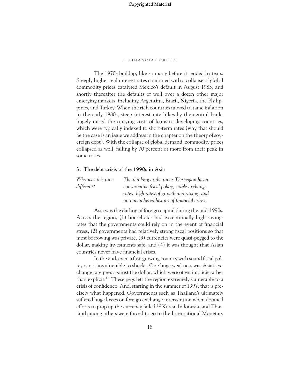### I. FINANCIAL CRISES

The 1970s buildup, like so many before it, ended in tears. Steeply higher real interest rates combined with a collapse of global commodity prices catalyzed Mexico's default in August 1983, and shortly thereafter the defaults of well over a dozen other major emerging markets, including Argentina, Brazil, Nigeria, the Philippines, and Turkey. When the rich countries moved to tame inflation in the early 1980s, steep interest rate hikes by the central banks hugely raised the carrying costs of loans to developing countries, which were typically indexed to short-term rates (why that should be the case is an issue we address in the chapter on the theory of sovereign debt). With the collapse of global demand, commodity prices collapsed as well, falling by 70 percent or more from their peak in some cases.

#### **3. The debt crisis of the 1990s in Asia**

| Why was this time | The thinking at the time: The region has a  |
|-------------------|---------------------------------------------|
| different?        | conservative fiscal policy, stable exchange |
|                   | rates, high rates of growth and saving, and |
|                   | no remembered history of financial crises.  |

Asia was the darling of foreign capital during the mid-1990s. Across the region, (1) households had exceptionally high savings rates that the governments could rely on in the event of financial stress, (2) governments had relatively strong fiscal positions so that most borrowing was private, (3) currencies were quasi-pegged to the dollar, making investments safe, and (4) it was thought that Asian countries never have financial crises.

In the end, even a fast-growing country with sound fiscal policy is not invulnerable to shocks. One huge weakness was Asia's exchange rate pegs against the dollar, which were often implicit rather than explicit.<sup>11</sup> These pegs left the region extremely vulnerable to a crisis of confidence. And, starting in the summer of 1997, that is precisely what happened. Governments such as Thailand's ultimately suffered huge losses on foreign exchange intervention when doomed efforts to prop up the currency failed.<sup>12</sup> Korea, Indonesia, and Thailand among others were forced to go to the International Monetary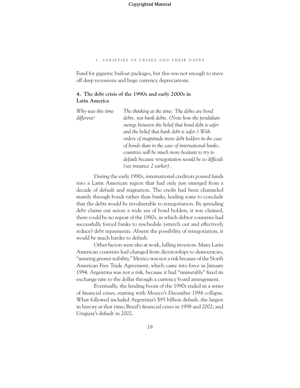## 1. VARIETIES OF CRISES AND THEIR DATES

Fund for gigantic bailout packages, but this was not enough to stave off deep recessions and huge currency depreciations.

## **4. The debt crisis of the 1990s and early 2000s in Latin America**

| Why was this time | The thinking at the time: The debts are bond        |
|-------------------|-----------------------------------------------------|
| different?        | debts, not bank debts. (Note how the pendulum       |
|                   | swings between the belief that bond debt is safer   |
|                   | and the belief that bank debt is safer.) With       |
|                   | orders of magnitude more debt holders in the case   |
|                   | of bonds than in the case of international banks,   |
|                   | countries will be much more hesitant to try to      |
|                   | default because renegotiation would be so difficult |
|                   | (see instance 2 earlier).                           |

During the early 1990s, international creditors poured funds into a Latin American region that had only just emerged from a decade of default and stagnation. The credit had been channeled mainly through bonds rather than banks, leading some to conclude that the debts would be invulnerable to renegotiation. By spreading debt claims out across a wide sea of bond holders, it was claimed, there could be no repeat of the 1980s, in which debtor countries had successfully forced banks to reschedule (stretch out and effectively reduce) debt repayments. Absent the possibility of renegotiation, it would be much harder to default.

Other factors were also at work, lulling investors. Many Latin American countries had changed from dictatorships to democracies, "assuring greater stability." Mexico was not a risk because of the North American Free Trade Agreement, which came into force in January 1994. Argentina was not a risk, because it had "immutably" fixed its exchange rate to the dollar through a currency board arrangement.

Eventually, the lending boom of the 1990s ended in a series of financial crises, starting with Mexico's December 1994 collapse. What followed included Argentina's \$95 billion default, the largest in history at that time; Brazil's financial crises in 1998 and 2002; and Uruguay's default in 2002.